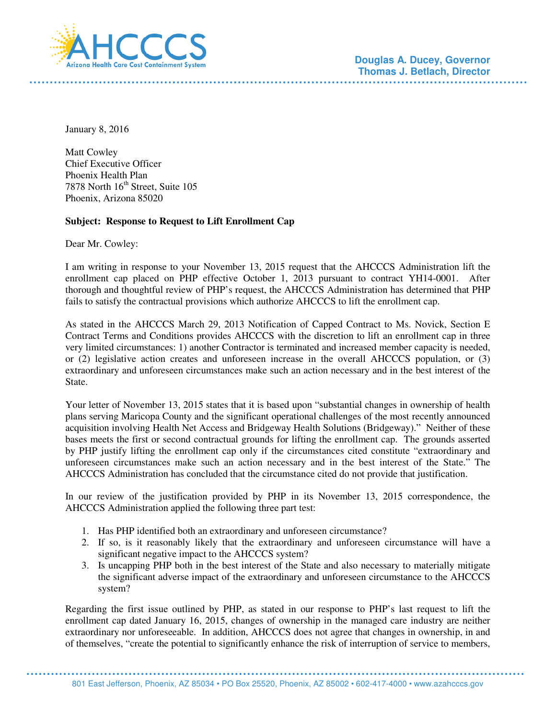

**Douglas A. Ducey, Governor Thomas J. Betlach, Director** 

January 8, 2016

Matt Cowley Chief Executive Officer Phoenix Health Plan 7878 North  $16<sup>th</sup>$  Street, Suite 105 Phoenix, Arizona 85020

## **Subject: Response to Request to Lift Enrollment Cap**

Dear Mr. Cowley:

I am writing in response to your November 13, 2015 request that the AHCCCS Administration lift the enrollment cap placed on PHP effective October 1, 2013 pursuant to contract YH14-0001. After thorough and thoughtful review of PHP's request, the AHCCCS Administration has determined that PHP fails to satisfy the contractual provisions which authorize AHCCCS to lift the enrollment cap.

As stated in the AHCCCS March 29, 2013 Notification of Capped Contract to Ms. Novick, Section E Contract Terms and Conditions provides AHCCCS with the discretion to lift an enrollment cap in three very limited circumstances: 1) another Contractor is terminated and increased member capacity is needed, or (2) legislative action creates and unforeseen increase in the overall AHCCCS population, or (3) extraordinary and unforeseen circumstances make such an action necessary and in the best interest of the State.

Your letter of November 13, 2015 states that it is based upon "substantial changes in ownership of health plans serving Maricopa County and the significant operational challenges of the most recently announced acquisition involving Health Net Access and Bridgeway Health Solutions (Bridgeway)." Neither of these bases meets the first or second contractual grounds for lifting the enrollment cap. The grounds asserted by PHP justify lifting the enrollment cap only if the circumstances cited constitute "extraordinary and unforeseen circumstances make such an action necessary and in the best interest of the State." The AHCCCS Administration has concluded that the circumstance cited do not provide that justification.

In our review of the justification provided by PHP in its November 13, 2015 correspondence, the AHCCCS Administration applied the following three part test:

- 1. Has PHP identified both an extraordinary and unforeseen circumstance?
- 2. If so, is it reasonably likely that the extraordinary and unforeseen circumstance will have a significant negative impact to the AHCCCS system?
- 3. Is uncapping PHP both in the best interest of the State and also necessary to materially mitigate the significant adverse impact of the extraordinary and unforeseen circumstance to the AHCCCS system?

Regarding the first issue outlined by PHP, as stated in our response to PHP's last request to lift the enrollment cap dated January 16, 2015, changes of ownership in the managed care industry are neither extraordinary nor unforeseeable. In addition, AHCCCS does not agree that changes in ownership, in and of themselves, "create the potential to significantly enhance the risk of interruption of service to members,